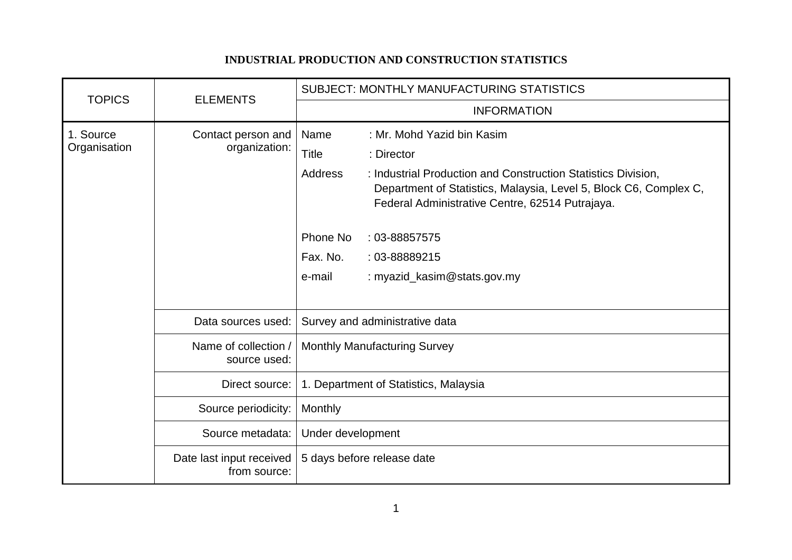## **INDUSTRIAL PRODUCTION AND CONSTRUCTION STATISTICS**

| <b>TOPICS</b>             | <b>ELEMENTS</b>                          | <b>SUBJECT: MONTHLY MANUFACTURING STATISTICS</b>                                                                                                                                                        |
|---------------------------|------------------------------------------|---------------------------------------------------------------------------------------------------------------------------------------------------------------------------------------------------------|
|                           |                                          | <b>INFORMATION</b>                                                                                                                                                                                      |
| 1. Source<br>Organisation | Contact person and                       | Name<br>: Mr. Mohd Yazid bin Kasim                                                                                                                                                                      |
|                           | organization:                            | Title<br>: Director                                                                                                                                                                                     |
|                           |                                          | <b>Address</b><br>: Industrial Production and Construction Statistics Division,<br>Department of Statistics, Malaysia, Level 5, Block C6, Complex C,<br>Federal Administrative Centre, 62514 Putrajaya. |
|                           |                                          | Phone No<br>$: 03 - 88857575$                                                                                                                                                                           |
|                           |                                          | Fax. No.<br>: 03-88889215                                                                                                                                                                               |
|                           |                                          | : myazid_kasim@stats.gov.my<br>e-mail                                                                                                                                                                   |
|                           |                                          |                                                                                                                                                                                                         |
|                           | Data sources used:                       | Survey and administrative data                                                                                                                                                                          |
|                           | Name of collection /<br>source used:     | <b>Monthly Manufacturing Survey</b>                                                                                                                                                                     |
|                           | Direct source:                           | 1. Department of Statistics, Malaysia                                                                                                                                                                   |
|                           | Source periodicity:                      | <b>Monthly</b>                                                                                                                                                                                          |
|                           | Source metadata:                         | Under development                                                                                                                                                                                       |
|                           | Date last input received<br>from source: | 5 days before release date                                                                                                                                                                              |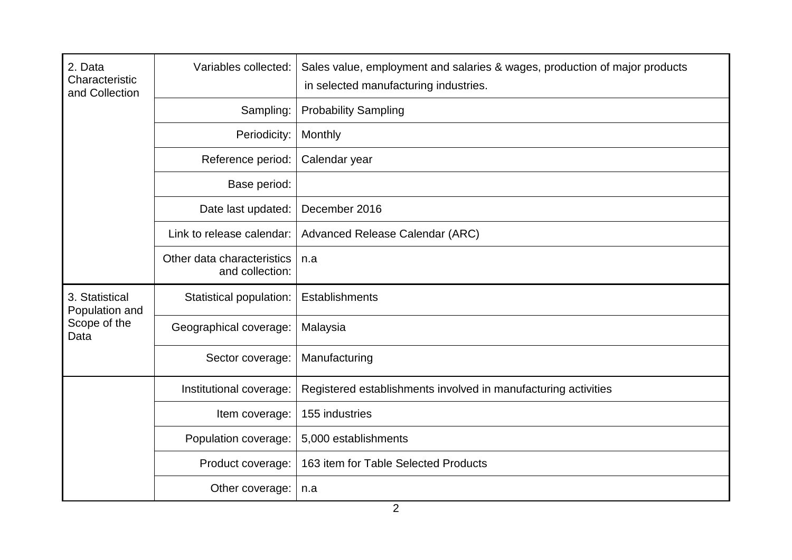| 2. Data<br>Characteristic<br>and Collection              | Variables collected:                          | Sales value, employment and salaries & wages, production of major products<br>in selected manufacturing industries. |
|----------------------------------------------------------|-----------------------------------------------|---------------------------------------------------------------------------------------------------------------------|
|                                                          | Sampling:                                     | <b>Probability Sampling</b>                                                                                         |
|                                                          | Periodicity:                                  | Monthly                                                                                                             |
|                                                          | Reference period:                             | Calendar year                                                                                                       |
|                                                          | Base period:                                  |                                                                                                                     |
|                                                          | Date last updated:                            | December 2016                                                                                                       |
|                                                          | Link to release calendar:                     | Advanced Release Calendar (ARC)                                                                                     |
|                                                          | Other data characteristics<br>and collection: | n.a                                                                                                                 |
| 3. Statistical<br>Population and<br>Scope of the<br>Data | Statistical population:                       | Establishments                                                                                                      |
|                                                          | Geographical coverage:                        | Malaysia                                                                                                            |
|                                                          | Sector coverage:                              | Manufacturing                                                                                                       |
|                                                          | Institutional coverage:                       | Registered establishments involved in manufacturing activities                                                      |
|                                                          | Item coverage:                                | 155 industries                                                                                                      |
|                                                          | Population coverage:                          | 5,000 establishments                                                                                                |
|                                                          | Product coverage:                             | 163 item for Table Selected Products                                                                                |
|                                                          | Other coverage:                               | n.a                                                                                                                 |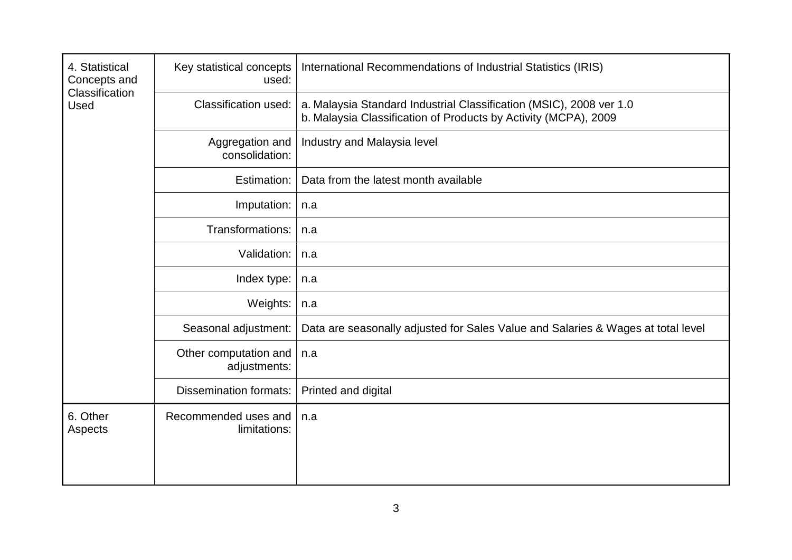| 4. Statistical<br>Concepts and<br>Classification<br><b>Used</b> | Key statistical concepts<br>used:     | International Recommendations of Industrial Statistics (IRIS)                                                                          |
|-----------------------------------------------------------------|---------------------------------------|----------------------------------------------------------------------------------------------------------------------------------------|
|                                                                 | <b>Classification used:</b>           | a. Malaysia Standard Industrial Classification (MSIC), 2008 ver 1.0<br>b. Malaysia Classification of Products by Activity (MCPA), 2009 |
|                                                                 | Aggregation and<br>consolidation:     | Industry and Malaysia level                                                                                                            |
|                                                                 | Estimation:                           | Data from the latest month available                                                                                                   |
|                                                                 | Imputation:                           | n.a                                                                                                                                    |
|                                                                 | Transformations:                      | n.a                                                                                                                                    |
|                                                                 | Validation:                           | n.a                                                                                                                                    |
|                                                                 | Index type:                           | n.a                                                                                                                                    |
|                                                                 | Weights:                              | n.a                                                                                                                                    |
|                                                                 | Seasonal adjustment:                  | Data are seasonally adjusted for Sales Value and Salaries & Wages at total level                                                       |
|                                                                 | Other computation and<br>adjustments: | n.a                                                                                                                                    |
|                                                                 | <b>Dissemination formats:</b>         | Printed and digital                                                                                                                    |
| 6. Other<br>Aspects                                             | Recommended uses and<br>limitations:  | n.a                                                                                                                                    |
|                                                                 |                                       |                                                                                                                                        |